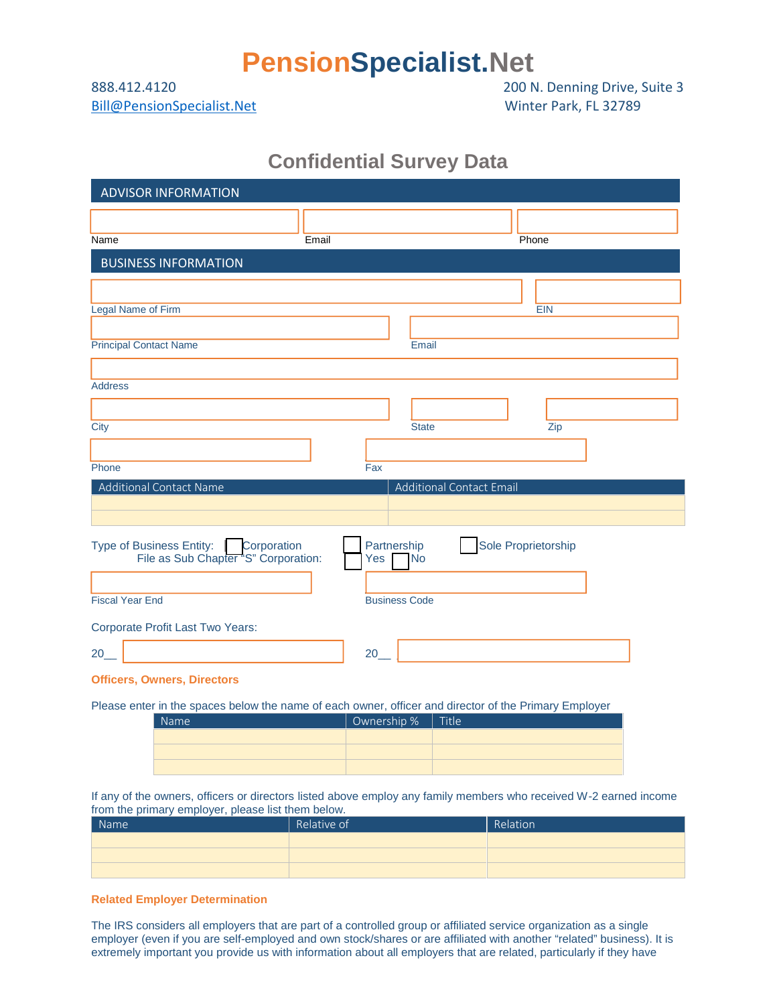## **PensionSpecialist.Net**

Bill@PensionSpecialist.Net Winter Park, FL 32789

888.412.4120 200 N. Denning Drive, Suite 3

## **Confidential Survey Data**

| <b>ADVISOR INFORMATION</b>             |                                    |  |  |
|----------------------------------------|------------------------------------|--|--|
|                                        |                                    |  |  |
| Name<br>Email                          | Phone                              |  |  |
| <b>BUSINESS INFORMATION</b>            |                                    |  |  |
|                                        |                                    |  |  |
| Legal Name of Firm                     | <b>EIN</b>                         |  |  |
|                                        |                                    |  |  |
| <b>Principal Contact Name</b>          | Email                              |  |  |
|                                        |                                    |  |  |
| <b>Address</b>                         |                                    |  |  |
|                                        |                                    |  |  |
| City                                   | <b>State</b><br>Zip                |  |  |
|                                        |                                    |  |  |
| Phone                                  | Fax                                |  |  |
| Additional Contact Name                | Additional Contact Email           |  |  |
|                                        |                                    |  |  |
| Type of Business Entity:   Corporation | Sole Proprietorship<br>Partnership |  |  |
| File as Sub Chapter "S" Corporation:   | <b>No</b><br>Yes                   |  |  |
|                                        |                                    |  |  |
| <b>Fiscal Year End</b>                 | <b>Business Code</b>               |  |  |
| Corporate Profit Last Two Years:       |                                    |  |  |
| 20                                     | 20                                 |  |  |
|                                        |                                    |  |  |

**Officers, Owners, Directors**

Please enter in the spaces below the name of each owner, officer and director of the Primary Employer

| <b>Name</b> | Ownership %   Title |  |
|-------------|---------------------|--|
|             |                     |  |
|             |                     |  |
|             |                     |  |

If any of the owners, officers or directors listed above employ any family members who received W-2 earned income from the primary employer, please list them below.

| Name | Relative of | Relation |
|------|-------------|----------|
|      |             |          |
|      |             |          |
|      |             |          |

**Related Employer Determination**

The IRS considers all employers that are part of a controlled group or affiliated service organization as a single employer (even if you are self-employed and own stock/shares or are affiliated with another "related" business). It is extremely important you provide us with information about all employers that are related, particularly if they have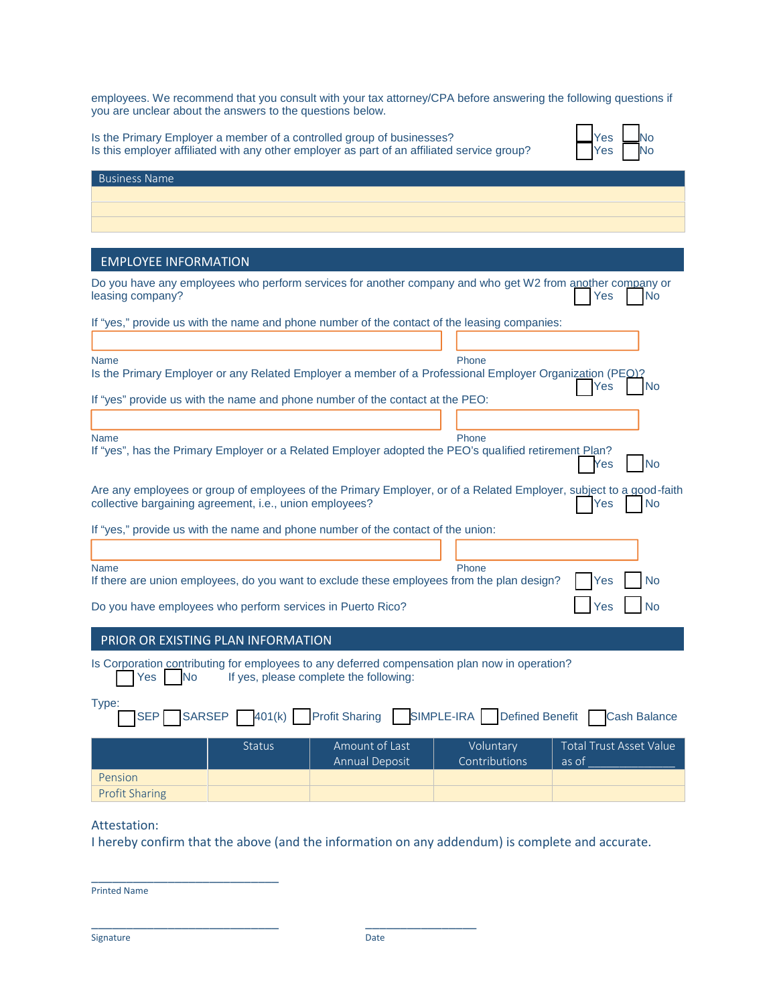employees. We recommend that you consult with your tax attorney/CPA before answering the following questions if you are unclear about the answers to the questions below.

Is the Primary Employer a member of a controlled group of businesses?  $\Box$  Yes  $\Box$  Yes  $\Box$  No Is this employer affiliated with any other employer as part of an affiliated service group?  $\blacksquare$  Yes  $\blacksquare$  No

| es | í |
|----|---|
| es | í |

| <b>Business Name</b>        |  |  |
|-----------------------------|--|--|
|                             |  |  |
|                             |  |  |
|                             |  |  |
|                             |  |  |
| <b>EMPLOYEE INFORMATION</b> |  |  |

| Do you have any employees who perform services for another company and who get W2 from another company or<br>leasing company?<br><b>No</b><br>Yes                                                 |  |  |  |  |
|---------------------------------------------------------------------------------------------------------------------------------------------------------------------------------------------------|--|--|--|--|
| If "yes," provide us with the name and phone number of the contact of the leasing companies:                                                                                                      |  |  |  |  |
|                                                                                                                                                                                                   |  |  |  |  |
| Phone<br><b>Name</b><br>Is the Primary Employer or any Related Employer a member of a Professional Employer Organization (PEO)?<br>Yes<br><b>No</b>                                               |  |  |  |  |
| If "yes" provide us with the name and phone number of the contact at the PEO:                                                                                                                     |  |  |  |  |
|                                                                                                                                                                                                   |  |  |  |  |
| <b>Name</b><br>Phone                                                                                                                                                                              |  |  |  |  |
| If "yes", has the Primary Employer or a Related Employer adopted the PEO's qualified retirement Plan?<br><b>No</b><br>Yes                                                                         |  |  |  |  |
| Are any employees or group of employees of the Primary Employer, or of a Related Employer, subject to a good-faith<br>collective bargaining agreement, i.e., union employees?<br><b>No</b><br>Yes |  |  |  |  |
| If "yes," provide us with the name and phone number of the contact of the union:                                                                                                                  |  |  |  |  |
|                                                                                                                                                                                                   |  |  |  |  |
| Phone<br><b>Name</b>                                                                                                                                                                              |  |  |  |  |
| If there are union employees, do you want to exclude these employees from the plan design?<br><b>No</b><br>Yes                                                                                    |  |  |  |  |
| <b>No</b><br>Do you have employees who perform services in Puerto Rico?<br>Yes                                                                                                                    |  |  |  |  |
| PRIOR OR EXISTING PLAN INFORMATION                                                                                                                                                                |  |  |  |  |
|                                                                                                                                                                                                   |  |  |  |  |
| Is Corporation contributing for employees to any deferred compensation plan now in operation?<br>If yes, please complete the following:<br>Yes<br><b>No</b>                                       |  |  |  |  |
| Type:<br>SIMPLE-IRA<br><b>Profit Sharing</b><br><b>Defined Benefit</b><br><b>SARSEP</b><br><b>SEP</b><br>401(k)<br><b>Cash Balance</b>                                                            |  |  |  |  |
| Amount of Last<br><b>Total Trust Asset Value</b><br><b>Status</b><br>Voluntary<br>Contributions<br><b>Annual Deposit</b><br>as of                                                                 |  |  |  |  |
| Pension                                                                                                                                                                                           |  |  |  |  |
| <b>Profit Sharing</b>                                                                                                                                                                             |  |  |  |  |

## Attestation:

I hereby confirm that the above (and the information on any addendum) is complete and accurate.

Printed Name

\_\_\_\_\_\_\_\_\_\_\_\_\_\_\_\_\_\_\_\_\_\_\_\_\_\_\_

\_\_\_\_\_\_\_\_\_\_\_\_\_\_\_\_\_\_\_\_\_\_\_\_\_\_\_ \_\_\_\_\_\_\_\_\_\_\_\_\_\_\_\_